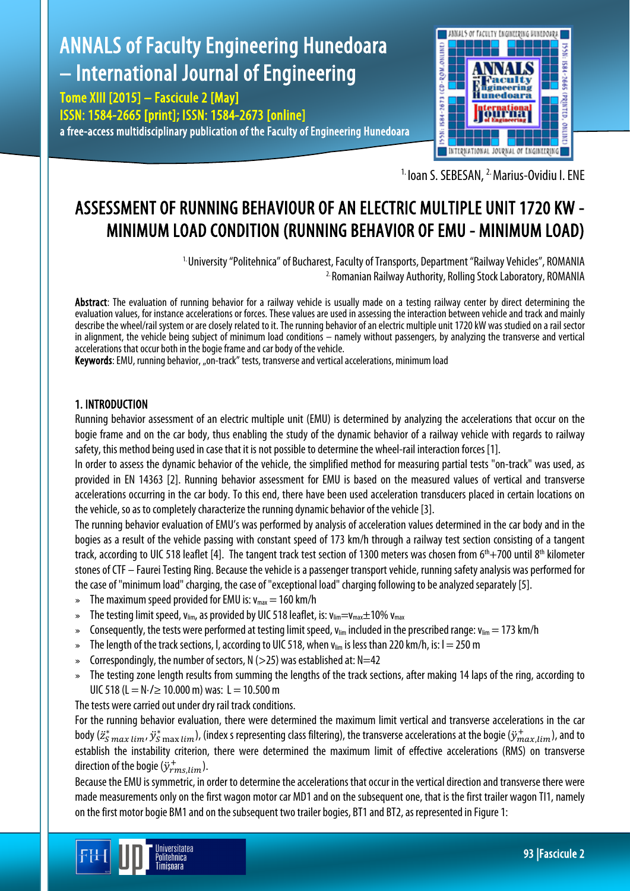# ANNALS of Faculty Engineering Hunedoara – International Journal of Engineering

Tome XIII [2015] – Fascicule 2 [May] ISSN: 1584-2665 [print]; ISSN: 1584-2673 [online] a free-access multidisciplinary publication of the Faculty of Engineering Hunedoara



<sup>1.</sup> Ioan S. SEBESAN, <sup>2.</sup> Marius-Ovidiu I. ENE

## ASSESSMENT OF RUNNING BEHAVIOUR OF AN ELECTRIC MULTIPLE UNIT 1720 KW - MINIMUM LOAD CONDITION (RUNNING BEHAVIOR OF EMU - MINIMUM LOAD)

 1. University "Politehnica" of Bucharest, Faculty of Transports, Department "Railway Vehicles", ROMANIA 2. Romanian Railway Authority, Rolling Stock Laboratory, ROMANIA

Abstract: The evaluation of running behavior for a railway vehicle is usually made on a testing railway center by direct determining the evaluation values, for instance accelerations or forces. These values are used in assessing the interaction between vehicle and track and mainly describe the wheel/rail system or are closely related to it. The running behavior of an electric multiple unit 1720 kW was studied on a rail sector in alignment, the vehicle being subject of minimum load conditions – namely without passengers, by analyzing the transverse and vertical accelerations that occur both in the bogie frame and carbody of the vehicle.

Keywords: EMU, running behavior, "on-track" tests, transverse and vertical accelerations, minimum load

### 1. INTRODUCTION

Running behavior assessment of an electric multiple unit (EMU) is determined by analyzing the accelerations that occur on the bogie frame and on the car body, thus enabling the study of the dynamic behavior of a railway vehicle with regards to railway safety, this method being used in case that it is not possible to determine the wheel-rail interaction forces [1].

In order to assess the dynamic behavior of the vehicle, the simplified method for measuring partial tests "on-track" was used, as provided in EN 14363 [2]. Running behavior assessment for EMU is based on the measured values of vertical and transverse accelerations occurring in the car body. To this end, there have been used acceleration transducers placed in certain locations on the vehicle, so as to completely characterize the running dynamic behavior of the vehicle [3].

The running behavior evaluation of EMU's was performed by analysis of acceleration values determined in the car body and in the bogies as a result of the vehicle passing with constant speed of 173 km/h through a railway test section consisting of a tangent track, according to UIC 518 leaflet [4]. The tangent track test section of 1300 meters was chosen from  $6<sup>th</sup>+700$  until  $8<sup>th</sup>$  kilometer stones of CTF – Faurei Testing Ring. Because the vehicle is a passenger transport vehicle, running safety analysis was performed for the case of "minimum load" charging, the case of "exceptional load" charging following to be analyzed separately [5].

- $\text{m}$  The maximum speed provided for EMU is:  $v_{\text{max}} = 160 \text{ km/h}$
- » The testing limit speed, v<sub>lim</sub>, as provided by UIC 518 leaflet, is: v<sub>lim</sub>=v<sub>max</sub> $\pm$ 10% v<sub>max</sub>
- » Consequently, the tests were performed at testing limit speed,  $v_{lim}$  included in the prescribed range:  $v_{lim} = 173$  km/h
- » The length of the track sections, I, according to UIC 518, when  $v_{lim}$  is less than 220 km/h, is:  $l = 250$  m
- » Correspondingly, the number of sectors,  $N (>25)$  was established at:  $N=42$
- » The testing zone length results from summing the lengths of the track sections, after making 14 laps of the ring, according to UIC 518 (L = N⋅/ ≥ 10.000 m) was: L = 10.500 m

The tests were carried out under dry rail track conditions.

Iniversitatea Politehnica Timisnara

For the running behavior evaluation, there were determined the maximum limit vertical and transverse accelerations in the car body ( $\ddot{z}_{S\,max\,lim}$ ,  $\ddot{y}_{S\,max\,lim}$ ), (index s representing class filtering), the transverse accelerations at the bogie ( $\ddot{y}_{max,lim}^+$ ), and to establish the instability criterion, there were determined the maximum limit of effective accelerations (RMS) on transverse direction of the bogie  $(\ddot{y}_{rms,lim}^+)$ .

Because the EMU is symmetric, in order to determine the accelerations that occur in the vertical direction and transverse there were made measurements only on the first wagon motor car MD1 and on the subsequent one, that is the first trailer wagon TI1, namely on the first motor bogie BM1 and on the subsequent two trailer bogies, BT1 and BT2, as represented in Figure 1: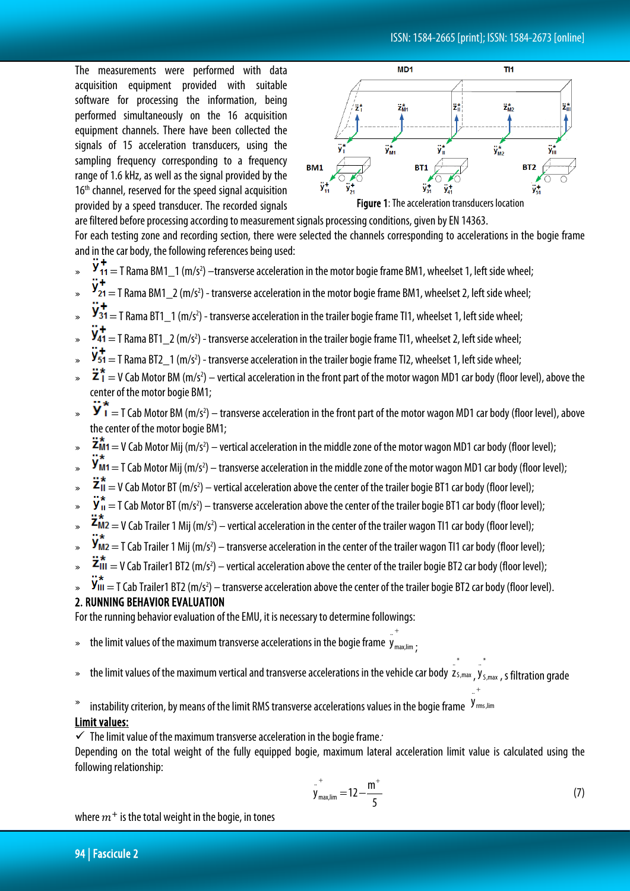The measurements were performed with data acquisition equipment provided with suitable software for processing the information, being performed simultaneously on the 16 acquisition equipment channels. There have been collected the signals of 15 acceleration transducers, using the sampling frequency corresponding to a frequency range of 1.6 kHz, as well as the signal provided by the 16<sup>th</sup> channel, reserved for the speed signal acquisition provided by a speed transducer. The recorded signals



are filtered before processing according to measurement signals processing conditions, given by EN 14363. For each testing zone and recording section, there were selected the channels corresponding to accelerations in the bogie frame and in the car body, the following references being used:

- $\frac{y}{11}$  = T Rama BM1\_1 (m/s<sup>2</sup>) –transverse acceleration in the motor bogie frame BM1, wheelset 1, left side wheel;
- $\frac{y}{21}$  = T Rama BM1\_2 (m/s<sup>2</sup>) transverse acceleration in the motor bogie frame BM1, wheelset 2, left side wheel;
- $\frac{y_{31}}{y_{31}}$  = T Rama BT1\_1 (m/s<sup>2</sup>) transverse acceleration in the trailer bogie frame Tl1, wheelset 1, left side wheel;
- $\frac{y_{41}}{y_{41}}$  = T Rama BT1\_2 (m/s<sup>2</sup>) transverse acceleration in the trailer bogie frame Tl1, wheelset 2, left side wheel;
- $\frac{9}{51}$  = T Rama BT2\_1 (m/s<sup>2</sup>) transverse acceleration in the trailer bogie frame Tl2, wheelset 1, left side wheel;
- $\sum \hat{i} = V$  Cab Motor BM (m/s<sup>2</sup>) vertical acceleration in the front part of the motor wagon MD1 car body (floor level), above the center of the motor bogie BM1;
- $\mathbf{y}_1 = T$  Cab Motor BM (m/s<sup>2</sup>) transverse acceleration in the front part of the motor wagon MD1 car body (floor level), above the center of the motor bogie BM1;
- $\bullet$   $\bullet$   $\Xi$ M1  $=$  V Cab Motor Mij (m/s<sup>2</sup>) vertical acceleration in the middle zone of the motor wagon MD1 car body (floor level);
- $\,$   $\,$   $\,$  **y** m1  $=$  T Cab Motor Mij (m/s<sup>2</sup>) transverse acceleration in the middle zone of the motor wagon MD1 car body (floor level);
- $\blacktriangleright$   $\blacktriangleright$   $\blacktriangleleft$   $\blacktriangleleft$   $\blacktriangleright$   $\blacktriangleleft$   $\blacktriangleleft$   $\blacktriangleleft$   $\blacktriangleright$   $\blacktriangleleft$   $\blacktriangleleft$  acceleration above the center of the trailer bogie BT1 car body (floor level);
- $\bf{v}$   $\bf{v}$   $\bf{\bar{v}}$  = T Cab Motor BT (m/s<sup>2</sup>) transverse acceleration above the center of the trailer bogie BT1 car body (floor level);
- $\blacktriangleright$   $\blacktriangle$ M2  $=$  V Cab Trailer 1 Mij (m/s<sup>2</sup>) vertical acceleration in the center of the trailer wagon Tl1 car body (floor level);
- $\bm{s}$   $\bm{s}$   $\bm{v}$   $\bm{w}$   $=$  T Cab Trailer 1 Mij (m/s<sup>2</sup>) transverse acceleration in the center of the trailer wagon Tl1 car body (floor level);
- $\blacktriangleright$   $\blacktriangleright$   $\blacktriangleleft$   $\blacktriangleleft$   $\blacktriangleright$   $\blacktriangleleft$   $\blacktriangleleft$   $\blacktriangleleft$   $\blacktriangleleft$   $\blacktriangleleft$   $\blacktriangleleft$   $\blacktriangleleft$   $\blacktriangleleft$  acceleration above the center of the trailer bogie BT2 car body (floor level);
- $\mathbf{y}_{\mathsf{III}} = \mathsf{T}$  Cab Trailer1 BT2 (m/s<sup>2</sup>) transverse acceleration above the center of the trailer bogie BT2 car body (floor level).

#### 2. RUNNING BEHAVIOR EVALUATION

For the running behavior evaluation of the EMU, it is necessary to determine followings:

- $\ast$  the limit values of the maximum transverse accelerations in the bogie frame  $\bm{y}_{\text{max,limit}}$ ..<sup>+</sup><br>y <sub>max,lim</sub> ;
- » the limit values of the maximum vertical and transverse accelerations in the vehicle car body z<sub>S,max</sub> …^<br>Zs,max<sub>,</sub>y<sub>s,max</sub> ..^<br>Y<sub>S,max</sub> , s filtration grade

+

 $\degree$  instability criterion, by means of the limit RMS transverse accelerations values in the bogie frame  $\rm y_{rms,lim}$ 

#### Limit values:

 $\checkmark$  The limit value of the maximum transverse acceleration in the bogie frame.

Depending on the total weight of the fully equipped bogie, maximum lateral acceleration limit value is calculated using the following relationship:

$$
y_{\text{max,lim}}^+ = 12 - \frac{m^+}{5} \tag{7}
$$

\*

\*

+ ..

where  $m<sup>+</sup>$  is the total weight in the bogie, in tones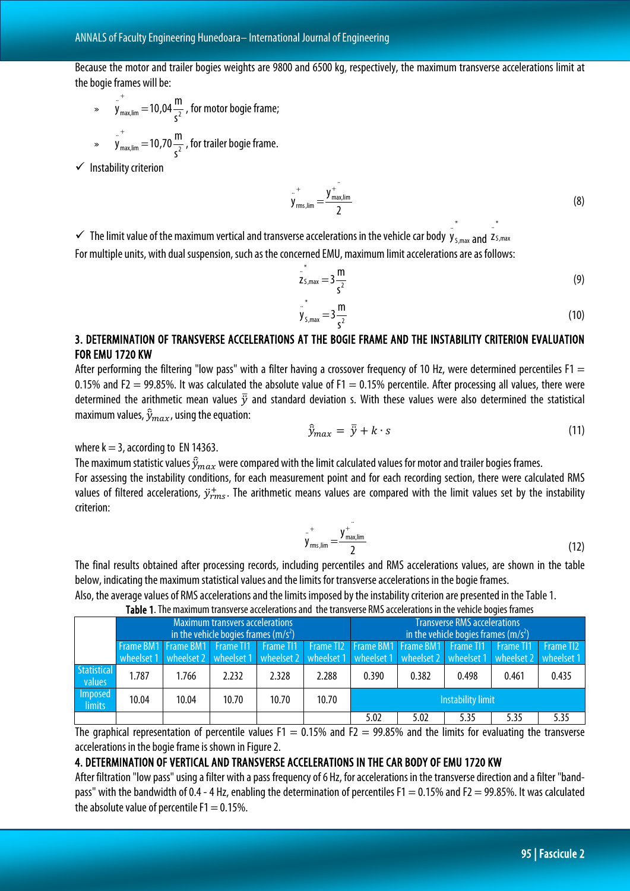Because the motor and trailer bogies weights are 9800 and 6500 kg, respectively, the maximum transverse accelerations limit at the bogie frames will be:

 $\psi_{\text{max,lim}} = 10,04 - 2$ .. s  $y_{\text{max lim}}^+ = 10,04 \frac{\text{m}}{2}$ + , for motor bogie frame;  $\psi_{\text{max,lim}} = 10,70 - 2$ ..  $y_{\text{max lim}}^+ = 10,70 \frac{\text{m}}{2}$ + , for trailer bogie frame.

s

 $\checkmark$  Instability criterion

$$
y_{\text{rms,lim}}^{+} = \frac{y_{\text{max,lim}}^{+}}{2}
$$
 (8)

\*

\*

 $\checkmark$  The limit value of the maximum vertical and transverse accelerations in the vehicle car body  $y_{s,max}$ eralism of the set of the set of the set of the set of the set of the set of the set of the set of the set of the set of the set of the set of the set of the set of the set of the set of the set of the set of the set of th .. z For multiple units, with dual suspension, such as the concerned EMU, maximum limit accelerations are as follows:

$$
z_{5,max}^* = 3\frac{m}{s^2}
$$
 (9)

$$
y_{s, \max} = 3 \frac{m}{s^2}
$$
 (10)

### 3. DETERMINATION OF TRANSVERSE ACCELERATIONS AT THE BOGIE FRAME AND THE INSTABILITY CRITERION EVALUATION FOR EMU 1720 KW

After performing the filtering "low pass" with a filter having a crossover frequency of 10 Hz, were determined percentiles F1  $=$ 0.15% and F2 = 99.85%. It was calculated the absolute value of F1 = 0.15% percentile. After processing all values, there were determined the arithmetic mean values  $\bar{y}$  and standard deviation s. With these values were also determined the statistical maximum values,  $\widehat{\mathcal{Y}}_{max}$ , using the equation:

$$
\hat{y}_{max} = \bar{y} + k \cdot s \tag{11}
$$

where  $k = 3$ , according to EN 14363.

The maximum statistic values  $\widehat{y}_{max}$  were compared with the limit calculated values for motor and trailer bogies frames. For assessing the instability conditions, for each measurement point and for each recording section, there were calculated RMS values of filtered accelerations,  $\ddot{y}_{rms}^+$ . The arithmetic means values are compared with the limit values set by the instability criterion:

..

$$
y_{\rm rms,lim}^{+} = \frac{y_{\rm max,lim}^{+}}{2} \tag{12}
$$

The final results obtained after processing records, including percentiles and RMS accelerations values, are shown in the table below, indicating the maximum statistical values and the limits for transverse accelerations in the bogie frames.

Also, the average values of RMS accelerations and the limits imposed by the instability criterion are presented in the Table 1.

Table 1. The maximum transverse accelerations and the transverse RMS accelerations in the vehicle bogies frames

|                              |                                                                                                     |       | <b>Maximum transvers accelerations</b><br>in the vehicle bogies frames $(m/s2)$ |       |       | <b>Transverse RMS accelerations</b><br>in the vehicle bogies frames $(m/s2)$ |       |       |                                                                                                               |       |  |
|------------------------------|-----------------------------------------------------------------------------------------------------|-------|---------------------------------------------------------------------------------|-------|-------|------------------------------------------------------------------------------|-------|-------|---------------------------------------------------------------------------------------------------------------|-------|--|
|                              | Frame BM1 Frame BM1 Frame TI1 Frame TI1 Frame TI2 Frame BM1 Frame BM1 Frame TI1 Frame TI1 Frame TI2 |       |                                                                                 |       |       |                                                                              |       |       | wheelset 1 wheelset 2 wheelset 1 wheelset 2 wheelset 1 wheelset 1 wheelset 2 wheelset 1 wheelset 2 wheelset 1 |       |  |
| <b>Statistical</b><br>values | 1.787                                                                                               | 1.766 | 2.232                                                                           | 2.328 | 2.288 | 0.390                                                                        | 0.382 | 0.498 | 0.461                                                                                                         | 0.435 |  |
| Imposed<br>limits            | 10.04                                                                                               | 10.04 | 10.70                                                                           | 10.70 | 10.70 | Instability limit                                                            |       |       |                                                                                                               |       |  |
|                              |                                                                                                     |       |                                                                                 |       |       | 5.02                                                                         | 5.02  | 5.35  | 5.35                                                                                                          | 5.35  |  |

The graphical representation of percentile values F1 = 0.15% and F2 = 99.85% and the limits for evaluating the transverse accelerations in the bogie frame is shown in Figure 2.

#### 4. DETERMINATION OF VERTICAL AND TRANSVERSE ACCELERATIONS IN THE CAR BODY OF EMU 1720 KW

After filtration "low pass" using a filter with a pass frequency of 6 Hz, for accelerations in the transverse direction and a filter "bandpass" with the bandwidth of 0.4 - 4 Hz, enabling the determination of percentiles F1 = 0.15% and F2 = 99.85%. It was calculated the absolute value of percentile  $F1 = 0.15\%$ .